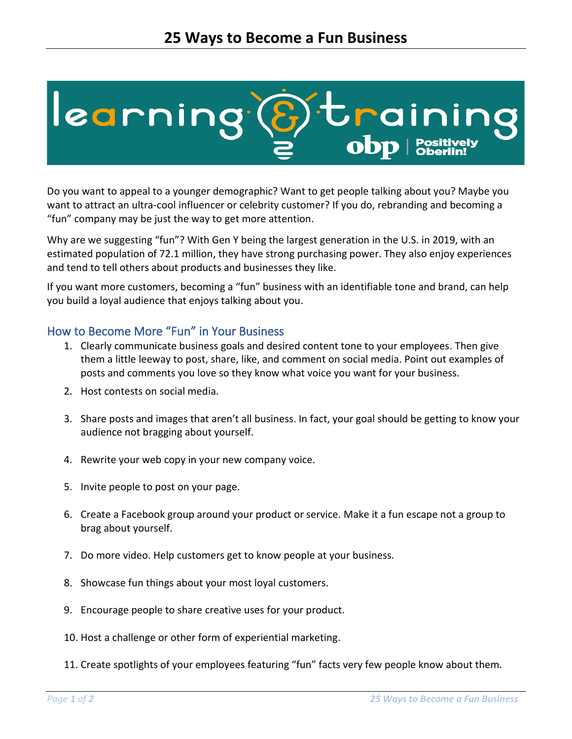

Do you want to appeal to a younger demographic? Want to get people talking about you? Maybe you want to attract an ultra-cool influencer or celebrity customer? If you do, rebranding and becoming a "fun" company may be just the way to get more attention.

Why are we suggesting "fun"? With Gen Y being the largest generation in the U.S. in 2019, with an estimated population of 72.1 million, they have strong purchasing power. They also enjoy experiences and tend to tell others about products and businesses they like.

If you want more customers, becoming a "fun" business with an identifiable tone and brand, can help you build a loyal audience that enjoys talking about you.

## How to Become More "Fun" in Your Business

- 1. Clearly communicate business goals and desired content tone to your employees. Then give them a little leeway to post, share, like, and comment on social media. Point out examples of posts and comments you love so they know what voice you want for your business.
- 2. Host contests on social media.
- 3. Share posts and images that aren't all business. In fact, your goal should be getting to know your audience not bragging about yourself.
- 4. Rewrite your web copy in your new company voice.
- 5. Invite people to post on your page.
- 6. Create a Facebook group around your product or service. Make it a fun escape not a group to brag about yourself.
- 7. Do more video. Help customers get to know people at your business.
- 8. Showcase fun things about your most loyal customers.
- 9. Encourage people to share creative uses for your product.
- 10. Host a challenge or other form of experiential marketing.
- 11. Create spotlights of your employees featuring "fun" facts very few people know about them.